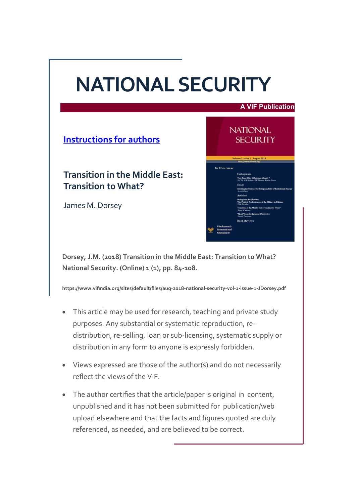# **NATIONAL SECURITY**

#### **A VIF Publication**

**NATIONAL SECURITY** 

In This Issue

**[Instructions for authors](https://www.vifindia.org/sites/default/files/Instructions-for-Contributors.pdf)**

**Transition in the Middle East: Transition to What?**

James M. Dorsey

**Dorsey, J.M. (2018) Transition in the Middle East: Transition to What? National Security. (Online) 1 (1), pp. 84-108.**

**https://www.vifindia.org/sites/default/files/aug-2018-national-security-vol-1-issue-1-JDorsey.pdf**

- This article may be used for research, teaching and private study purposes. Any substantial or systematic reproduction, redistribution, re-selling, loan or sub-licensing, systematic supply or distribution in any form to anyone is expressly forbidden.
- Views expressed are those of the author(s) and do not necessarily reflect the views of the VIF.
- The author certifies that the article/paper is original in content, unpublished and it has not been submitted for publication/web upload elsewhere and that the facts and figures quoted are duly referenced, as needed, and are believed to be correct.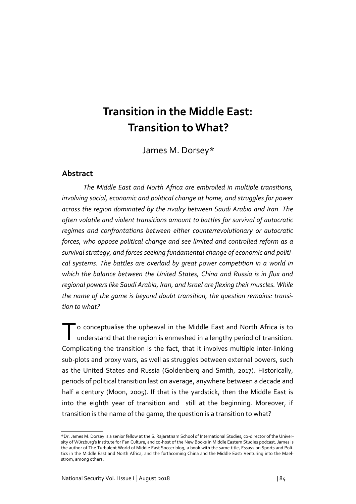# **Transition in the Middle East: Transition to What?**

James M. Dorsey\*

#### **Abstract**

*The Middle East and North Africa are embroiled in multiple transitions, involving social, economic and political change at home, and struggles for power across the region dominated by the rivalry between Saudi Arabia and Iran. The often volatile and violent transitions amount to battles for survival of autocratic regimes and confrontations between either counterrevolutionary or autocratic forces, who oppose political change and see limited and controlled reform as a survival strategy, and forces seeking fundamental change of economic and political systems. The battles are overlaid by great power competition in a world in which the balance between the United States, China and Russia is in flux and regional powers like Saudi Arabia, Iran, and Israel are flexing their muscles. While the name of the game is beyond doubt transition, the question remains: transition to what?* 

To conceptualise the upheaval in the Middle East and North Africa is to understand that the region is enmeshed in a lengthy period of transition. understand that the region is enmeshed in a lengthy period of transition. Complicating the transition is the fact, that it involves multiple inter-linking sub-plots and proxy wars, as well as struggles between external powers, such as the United States and Russia (Goldenberg and Smith, 2017). Historically, periods of political transition last on average, anywhere between a decade and half a century (Moon, 2005). If that is the yardstick, then the Middle East is into the eighth year of transition and still at the beginning. Moreover, if transition is the name of the game, the question is a transition to what?

<sup>\*</sup>Dr. James M. Dorsey is a senior fellow at the S. Rajaratnam School of International Studies, co-director of the University of Würzburg's Institute for Fan Culture, and co-host of the New Books in Middle Eastern Studies podcast. James is the author of The Turbulent World of Middle East Soccer blog, a book with the same title, Essays on Sports and Politics in the Middle East and North Africa, and the forthcoming China and the Middle East: Venturing into the Maelstrom, among others.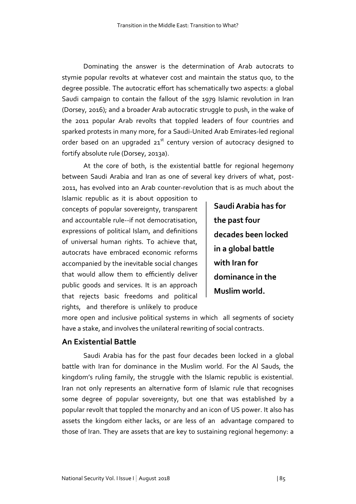Dominating the answer is the determination of Arab autocrats to stymie popular revolts at whatever cost and maintain the status quo, to the degree possible. The autocratic effort has schematically two aspects: a global Saudi campaign to contain the fallout of the 1979 Islamic revolution in Iran (Dorsey, 2016); and a broader Arab autocratic struggle to push, in the wake of the 2011 popular Arab revolts that toppled leaders of four countries and sparked protests in many more, for a Saudi-United Arab Emirates-led regional order based on an upgraded 21<sup>st</sup> century version of autocracy designed to fortify absolute rule (Dorsey, 2013a).

At the core of both, is the existential battle for regional hegemony between Saudi Arabia and Iran as one of several key drivers of what, post-2011, has evolved into an Arab counter-revolution that is as much about the

Islamic republic as it is about opposition to concepts of popular sovereignty, transparent and accountable rule--if not democratisation, expressions of political Islam, and definitions of universal human rights. To achieve that, autocrats have embraced economic reforms accompanied by the inevitable social changes that would allow them to efficiently deliver public goods and services. It is an approach that rejects basic freedoms and political rights, and therefore is unlikely to produce

**Saudi Arabia has for the past four decades been locked in a global battle with Iran for dominance in the Muslim world.**

more open and inclusive political systems in which all segments of society have a stake, and involves the unilateral rewriting of social contracts.

#### **An Existential Battle**

Saudi Arabia has for the past four decades been locked in a global battle with Iran for dominance in the Muslim world. For the Al Sauds, the kingdom's ruling family, the struggle with the Islamic republic is existential. Iran not only represents an alternative form of Islamic rule that recognises some degree of popular sovereignty, but one that was established by a popular revolt that toppled the monarchy and an icon of US power. It also has assets the kingdom either lacks, or are less of an advantage compared to those of Iran. They are assets that are key to sustaining regional hegemony: a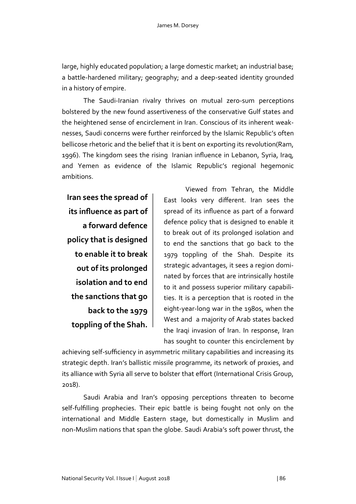large, highly educated population; a large domestic market; an industrial base; a battle-hardened military; geography; and a deep-seated identity grounded in a history of empire.

The Saudi-Iranian rivalry thrives on mutual zero-sum perceptions bolstered by the new found assertiveness of the conservative Gulf states and the heightened sense of encirclement in Iran. Conscious of its inherent weaknesses, Saudi concerns were further reinforced by the Islamic Republic's often bellicose rhetoric and the belief that it is bent on exporting its revolution(Ram, 1996). The kingdom sees the rising Iranian influence in Lebanon, Syria, Iraq, and Yemen as evidence of the Islamic Republic's regional hegemonic ambitions.

**Iran sees the spread of its influence as part of a forward defence policy that is designed to enable it to break out of its prolonged isolation and to end the sanctions that go back to the 1979 toppling of the Shah.**

Viewed from Tehran, the Middle East looks very different. Iran sees the spread of its influence as part of a forward defence policy that is designed to enable it to break out of its prolonged isolation and to end the sanctions that go back to the 1979 toppling of the Shah. Despite its strategic advantages, it sees a region dominated by forces that are intrinsically hostile to it and possess superior military capabilities. It is a perception that is rooted in the eight-year-long war in the 1980s, when the West and a majority of Arab states backed the Iraqi invasion of Iran. In response, Iran has sought to counter this encirclement by

achieving self-sufficiency in asymmetric military capabilities and increasing its strategic depth. Iran's ballistic missile programme, its network of proxies, and its alliance with Syria all serve to bolster that effort (International Crisis Group, 2018).

Saudi Arabia and Iran's opposing perceptions threaten to become self-fulfilling prophecies. Their epic battle is being fought not only on the international and Middle Eastern stage, but domestically in Muslim and non-Muslim nations that span the globe. Saudi Arabia's soft power thrust, the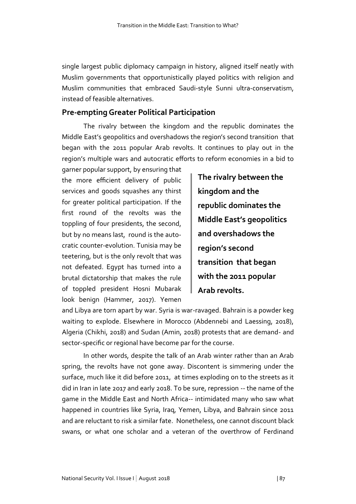single largest public diplomacy campaign in history, aligned itself neatly with Muslim governments that opportunistically played politics with religion and Muslim communities that embraced Saudi-style Sunni ultra-conservatism, instead of feasible alternatives.

### **Pre-empting Greater Political Participation**

The rivalry between the kingdom and the republic dominates the Middle East's geopolitics and overshadows the region's second transition that began with the 2011 popular Arab revolts. It continues to play out in the region's multiple wars and autocratic efforts to reform economies in a bid to

garner popular support, by ensuring that the more efficient delivery of public services and goods squashes any thirst for greater political participation. If the first round of the revolts was the toppling of four presidents, the second, but by no means last, round is the autocratic counter-evolution. Tunisia may be teetering, but is the only revolt that was not defeated. Egypt has turned into a brutal dictatorship that makes the rule of toppled president Hosni Mubarak look benign (Hammer, 2017). Yemen

**The rivalry between the kingdom and the republic dominates the Middle East's geopolitics and overshadows the region's second transition that began with the 2011 popular Arab revolts.**

and Libya are torn apart by war. Syria is war-ravaged. Bahrain is a powder keg waiting to explode. Elsewhere in Morocco (Abdennebi and Laessing, 2018), Algeria (Chikhi, 2018) and Sudan (Amin, 2018) protests that are demand- and sector-specific or regional have become par for the course.

In other words, despite the talk of an Arab winter rather than an Arab spring, the revolts have not gone away. Discontent is simmering under the surface, much like it did before 2011, at times exploding on to the streets as it did in Iran in late 2017 and early 2018. To be sure, repression -- the name of the game in the Middle East and North Africa-- intimidated many who saw what happened in countries like Syria, Iraq, Yemen, Libya, and Bahrain since 2011 and are reluctant to risk a similar fate. Nonetheless, one cannot discount black swans, or what one scholar and a veteran of the overthrow of Ferdinand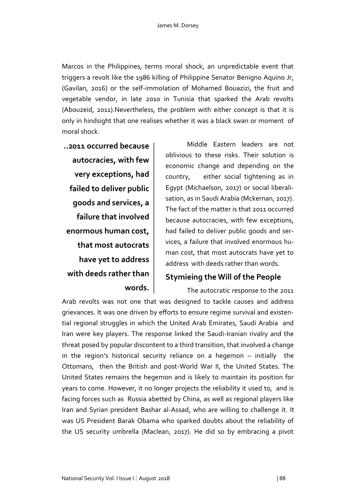Marcos in the Philippines, terms moral shock, an unpredictable event that triggers a revolt like the 1986 killing of Philippine Senator Benigno Aquino Jr, (Gavilan, 2016) or the self-immolation of Mohamed Bouazizi, the fruit and vegetable vendor, in late 2010 in Tunisia that sparked the Arab revolts (Abouzeid, 2011).Nevertheless, the problem with either concept is that it is only in hindsight that one realises whether it was a black swan or moment of moral shock.

**..2011 occurred because autocracies, with few very exceptions, had failed to deliver public goods and services, a failure that involved enormous human cost, that most autocrats have yet to address with deeds rather than words.**

Middle Eastern leaders are not oblivious to these risks. Their solution is economic change and depending on the country, either social tightening as in Egypt (Michaelson, 2017) or social liberalisation, as in Saudi Arabia (Mckernan, 2017). The fact of the matter is that 2011 occurred because autocracies, with few exceptions, had failed to deliver public goods and services, a failure that involved enormous human cost, that most autocrats have yet to address with deeds rather than words.

# **Stymieing the Will of the People**

The autocratic response to the 2011 Arab revolts was not one that was designed to tackle causes and address grievances. It was one driven by efforts to ensure regime survival and existential regional struggles in which the United Arab Emirates, Saudi Arabia and Iran were key players. The response linked the Saudi-Iranian rivalry and the threat posed by popular discontent to a third transition, that involved a change in the region's historical security reliance on a hegemon – initially the Ottomans, then the British and post-World War II, the United States. The United States remains the hegemon and is likely to maintain its position for years to come. However, it no longer projects the reliability it used to, and is facing forces such as Russia abetted by China, as well as regional players like Iran and Syrian president Bashar al-Assad, who are willing to challenge it. It was US President Barak Obama who sparked doubts about the reliability of the US security umbrella (Maclean, 2017). He did so by embracing a pivot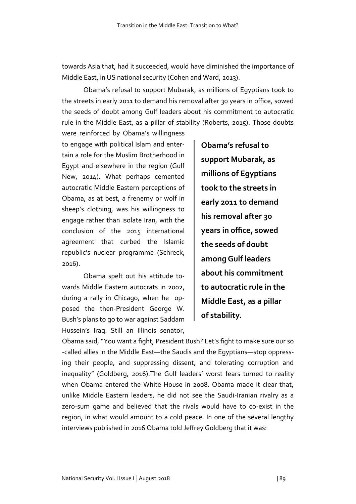towards Asia that, had it succeeded, would have diminished the importance of Middle East, in US national security (Cohen and Ward, 2013).

Obama's refusal to support Mubarak, as millions of Egyptians took to the streets in early 2011 to demand his removal after 30 years in office, sowed the seeds of doubt among Gulf leaders about his commitment to autocratic rule in the Middle East, as a pillar of stability (Roberts, 2015). Those doubts

were reinforced by Obama's willingness to engage with political Islam and entertain a role for the Muslim Brotherhood in Egypt and elsewhere in the region (Gulf New, 2014). What perhaps cemented autocratic Middle Eastern perceptions of Obama, as at best, a frenemy or wolf in sheep's clothing, was his willingness to engage rather than isolate Iran, with the conclusion of the 2015 international agreement that curbed the Islamic republic's nuclear programme (Schreck, 2016).

Obama spelt out his attitude towards Middle Eastern autocrats in 2002, during a rally in Chicago, when he opposed the then-President George W. Bush's plans to go to war against Saddam Hussein's Iraq. Still an Illinois senator,

**Obama's refusal to support Mubarak, as millions of Egyptians took to the streets in early 2011 to demand his removal after 30 years in office, sowed the seeds of doubt among Gulf leaders about his commitment to autocratic rule in the Middle East, as a pillar of stability.** 

Obama said, "You want a fight, President Bush? Let's fight to make sure our so -called allies in the Middle East—the Saudis and the Egyptians—stop oppressing their people, and suppressing dissent, and tolerating corruption and inequality" (Goldberg, 2016).The Gulf leaders' worst fears turned to reality when Obama entered the White House in 2008. Obama made it clear that, unlike Middle Eastern leaders, he did not see the Saudi-Iranian rivalry as a zero-sum game and believed that the rivals would have to co-exist in the region, in what would amount to a cold peace. In one of the several lengthy interviews published in 2016 Obama told Jeffrey Goldberg that it was: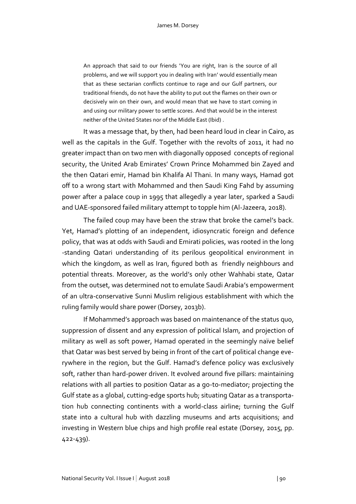An approach that said to our friends 'You are right, Iran is the source of all problems, and we will support you in dealing with Iran' would essentially mean that as these sectarian conflicts continue to rage and our Gulf partners, our traditional friends, do not have the ability to put out the flames on their own or decisively win on their own, and would mean that we have to start coming in and using our military power to settle scores. And that would be in the interest neither of the United States nor of the Middle East (Ibid) .

It was a message that, by then, had been heard loud in clear in Cairo, as well as the capitals in the Gulf. Together with the revolts of 2011, it had no greater impact than on two men with diagonally opposed concepts of regional security, the United Arab Emirates' Crown Prince Mohammed bin Zayed and the then Qatari emir, Hamad bin Khalifa Al Thani. In many ways, Hamad got off to a wrong start with Mohammed and then Saudi King Fahd by assuming power after a palace coup in 1995 that allegedly a year later, sparked a Saudi and UAE-sponsored failed military attempt to topple him (Al-Jazeera, 2018).

The failed coup may have been the straw that broke the camel's back. Yet, Hamad's plotting of an independent, idiosyncratic foreign and defence policy, that was at odds with Saudi and Emirati policies, was rooted in the long -standing Qatari understanding of its perilous geopolitical environment in which the kingdom, as well as Iran, figured both as friendly neighbours and potential threats. Moreover, as the world's only other Wahhabi state, Qatar from the outset, was determined not to emulate Saudi Arabia's empowerment of an ultra-conservative Sunni Muslim religious establishment with which the ruling family would share power (Dorsey, 2013b).

If Mohammed's approach was based on maintenance of the status quo, suppression of dissent and any expression of political Islam, and projection of military as well as soft power, Hamad operated in the seemingly naïve belief that Qatar was best served by being in front of the cart of political change everywhere in the region, but the Gulf. Hamad's defence policy was exclusively soft, rather than hard-power driven. It evolved around five pillars: maintaining relations with all parties to position Qatar as a go-to-mediator; projecting the Gulf state as a global, cutting-edge sports hub; situating Qatar as a transportation hub connecting continents with a world-class airline; turning the Gulf state into a cultural hub with dazzling museums and arts acquisitions; and investing in Western blue chips and high profile real estate (Dorsey, 2015, pp. 422-439).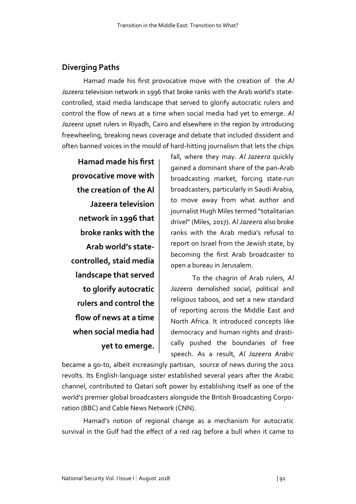#### **Diverging Paths**

Hamad made his first provocative move with the creation of the *Al Jazeera* television network in 1996 that broke ranks with the Arab world's statecontrolled, staid media landscape that served to glorify autocratic rulers and control the flow of news at a time when social media had yet to emerge. *Al Jazeera* upset rulers in Riyadh, Cairo and elsewhere in the region by introducing freewheeling, breaking news coverage and debate that included dissident and often banned voices in the mould of hard-hitting journalism that lets the chips

**Hamad made his first provocative move with the creation of the Al Jazeera television network in 1996 that broke ranks with the Arab world's statecontrolled, staid media landscape that served to glorify autocratic rulers and control the flow of news at a time when social media had yet to emerge.**

fall, where they may. *Al Jazeera* quickly gained a dominant share of the pan-Arab broadcasting market, forcing state-run broadcasters, particularly in Saudi Arabia, to move away from what author and journalist Hugh Miles termed "totalitarian drivel" (Miles, 2017). *Al Jazeera* also broke ranks with the Arab media's refusal to report on Israel from the Jewish state, by becoming the first Arab broadcaster to open a bureau in Jerusalem.

To the chagrin of Arab rulers, *Al Jazeera* demolished social, political and religious taboos, and set a new standard of reporting across the Middle East and North Africa. It introduced concepts like democracy and human rights and drastically pushed the boundaries of free speech. As a result, *Al Jazeera Arabic*

became a go-to, albeit increasingly partisan, source of news during the 2011 revolts. Its English-language sister established several years after the Arabic channel, contributed to Qatari soft power by establishing itself as one of the world's premier global broadcasters alongside the British Broadcasting Corporation (BBC) and Cable News Network (CNN).

Hamad's notion of regional change as a mechanism for autocratic survival in the Gulf had the effect of a red rag before a bull when it came to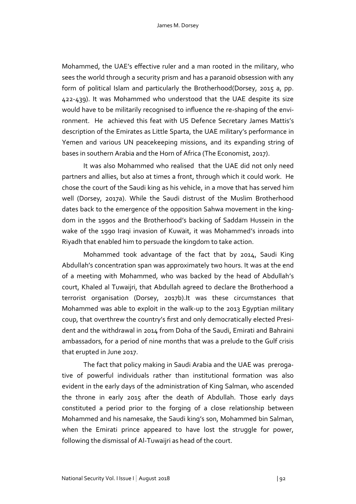Mohammed, the UAE's effective ruler and a man rooted in the military, who sees the world through a security prism and has a paranoid obsession with any form of political Islam and particularly the Brotherhood(Dorsey, 2015 a, pp. 422-439). It was Mohammed who understood that the UAE despite its size would have to be militarily recognised to influence the re-shaping of the environment. He achieved this feat with US Defence Secretary James Mattis's description of the Emirates as Little Sparta, the UAE military's performance in Yemen and various UN peacekeeping missions, and its expanding string of bases in southern Arabia and the Horn of Africa (The Economist, 2017).

It was also Mohammed who realised that the UAE did not only need partners and allies, but also at times a front, through which it could work. He chose the court of the Saudi king as his vehicle, in a move that has served him well (Dorsey, 2017a). While the Saudi distrust of the Muslim Brotherhood dates back to the emergence of the opposition Sahwa movement in the kingdom in the 1990s and the Brotherhood's backing of Saddam Hussein in the wake of the 1990 Iraqi invasion of Kuwait, it was Mohammed's inroads into Riyadh that enabled him to persuade the kingdom to take action.

Mohammed took advantage of the fact that by 2014, Saudi King Abdullah's concentration span was approximately two hours. It was at the end of a meeting with Mohammed, who was backed by the head of Abdullah's court, Khaled al Tuwaijri, that Abdullah agreed to declare the Brotherhood a terrorist organisation (Dorsey, 2017b).It was these circumstances that Mohammed was able to exploit in the walk-up to the 2013 Egyptian military coup, that overthrew the country's first and only democratically elected President and the withdrawal in 2014 from Doha of the Saudi, Emirati and Bahraini ambassadors, for a period of nine months that was a prelude to the Gulf crisis that erupted in June 2017.

The fact that policy making in Saudi Arabia and the UAE was prerogative of powerful individuals rather than institutional formation was also evident in the early days of the administration of King Salman, who ascended the throne in early 2015 after the death of Abdullah. Those early days constituted a period prior to the forging of a close relationship between Mohammed and his namesake, the Saudi king's son, Mohammed bin Salman, when the Emirati prince appeared to have lost the struggle for power, following the dismissal of Al-Tuwaijri as head of the court.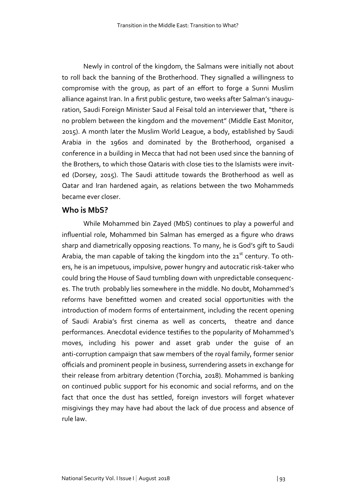Newly in control of the kingdom, the Salmans were initially not about to roll back the banning of the Brotherhood. They signalled a willingness to compromise with the group, as part of an effort to forge a Sunni Muslim alliance against Iran. In a first public gesture, two weeks after Salman's inauguration, Saudi Foreign Minister Saud al Feisal told an interviewer that, "there is no problem between the kingdom and the movement" (Middle East Monitor, 2015). A month later the Muslim World League, a body, established by Saudi Arabia in the 1960s and dominated by the Brotherhood, organised a conference in a building in Mecca that had not been used since the banning of the Brothers, to which those Qataris with close ties to the Islamists were invited (Dorsey, 2015). The Saudi attitude towards the Brotherhood as well as Qatar and Iran hardened again, as relations between the two Mohammeds became ever closer.

#### **Who is MbS?**

While Mohammed bin Zayed (MbS) continues to play a powerful and influential role, Mohammed bin Salman has emerged as a figure who draws sharp and diametrically opposing reactions. To many, he is God's gift to Saudi Arabia, the man capable of taking the kingdom into the  $21<sup>st</sup>$  century. To others, he is an impetuous, impulsive, power hungry and autocratic risk-taker who could bring the House of Saud tumbling down with unpredictable consequences. The truth probably lies somewhere in the middle. No doubt, Mohammed's reforms have benefitted women and created social opportunities with the introduction of modern forms of entertainment, including the recent opening of Saudi Arabia's first cinema as well as concerts, theatre and dance performances. Anecdotal evidence testifies to the popularity of Mohammed's moves, including his power and asset grab under the guise of an anti-corruption campaign that saw members of the royal family, former senior officials and prominent people in business, surrendering assets in exchange for their release from arbitrary detention (Torchia, 2018). Mohammed is banking on continued public support for his economic and social reforms, and on the fact that once the dust has settled, foreign investors will forget whatever misgivings they may have had about the lack of due process and absence of rule law.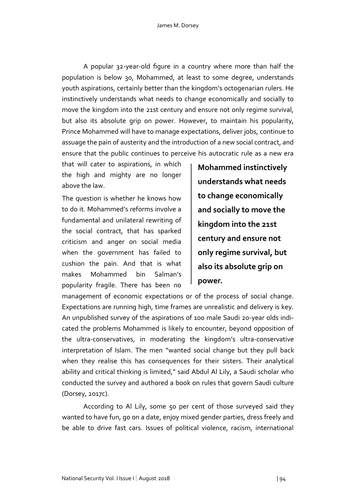A popular 32-year-old figure in a country where more than half the population is below 30, Mohammed, at least to some degree, understands youth aspirations, certainly better than the kingdom's octogenarian rulers. He instinctively understands what needs to change economically and socially to move the kingdom into the 21st century and ensure not only regime survival, but also its absolute grip on power. However, to maintain his popularity, Prince Mohammed will have to manage expectations, deliver jobs, continue to assuage the pain of austerity and the introduction of a new social contract, and ensure that the public continues to perceive his autocratic rule as a new era

that will cater to aspirations, in which the high and mighty are no longer above the law.

The question is whether he knows how to do it. Mohammed's reforms involve a fundamental and unilateral rewriting of the social contract, that has sparked criticism and anger on social media when the government has failed to cushion the pain. And that is what makes Mohammed bin Salman's popularity fragile. There has been no

**Mohammed instinctively understands what needs to change economically and socially to move the kingdom into the 21st century and ensure not only regime survival, but also its absolute grip on power.** 

management of economic expectations or of the process of social change. Expectations are running high, time frames are unrealistic and delivery is key. An unpublished survey of the aspirations of 100 male Saudi 20-year olds indicated the problems Mohammed is likely to encounter, beyond opposition of the ultra-conservatives, in moderating the kingdom's ultra-conservative interpretation of Islam. The men "wanted social change but they pull back when they realise this has consequences for their sisters. Their analytical ability and critical thinking is limited," said Abdul Al Lily, a Saudi scholar who conducted the survey and authored a book on rules that govern Saudi culture (Dorsey, 2017c).

According to Al Lily, some 50 per cent of those surveyed said they wanted to have fun, go on a date, enjoy mixed gender parties, dress freely and be able to drive fast cars. Issues of political violence, racism, international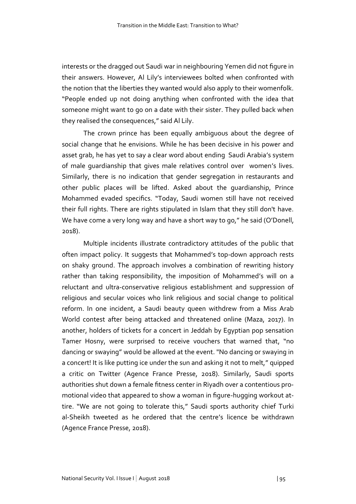interests or the dragged out Saudi war in neighbouring Yemen did not figure in their answers. However, Al Lily's interviewees bolted when confronted with the notion that the liberties they wanted would also apply to their womenfolk. "People ended up not doing anything when confronted with the idea that someone might want to go on a date with their sister. They pulled back when they realised the consequences," said Al Lily.

The crown prince has been equally ambiguous about the degree of social change that he envisions. While he has been decisive in his power and asset grab, he has yet to say a clear word about ending Saudi Arabia's system of male guardianship that gives male relatives control over women's lives. Similarly, there is no indication that gender segregation in restaurants and other public places will be lifted. Asked about the guardianship, Prince Mohammed evaded specifics. "Today, Saudi women still have not received their full rights. There are rights stipulated in Islam that they still don't have. We have come a very long way and have a short way to go," he said (O'Donell, 2018).

Multiple incidents illustrate contradictory attitudes of the public that often impact policy. It suggests that Mohammed's top-down approach rests on shaky ground. The approach involves a combination of rewriting history rather than taking responsibility, the imposition of Mohammed's will on a reluctant and ultra-conservative religious establishment and suppression of religious and secular voices who link religious and social change to political reform. In one incident, a Saudi beauty queen withdrew from a Miss Arab World contest after being attacked and threatened online (Maza, 2017). In another, holders of tickets for a concert in Jeddah by Egyptian pop sensation Tamer Hosny, were surprised to receive vouchers that warned that, "no dancing or swaying" would be allowed at the event. "No dancing or swaying in a concert! It is like putting ice under the sun and asking it not to melt," quipped a critic on Twitter (Agence France Presse, 2018). Similarly, Saudi sports authorities shut down a female fitness center in Riyadh over a contentious promotional video that appeared to show a woman in figure-hugging workout attire. "We are not going to tolerate this," Saudi sports authority chief Turki al-Sheikh tweeted as he ordered that the centre's licence be withdrawn (Agence France Presse, 2018).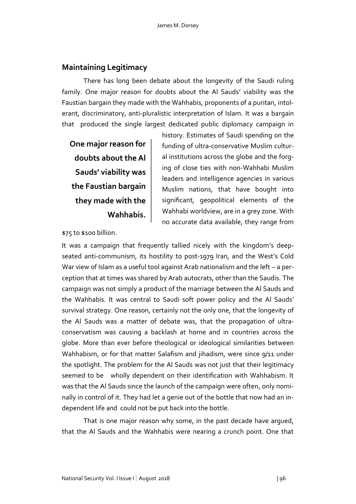## **Maintaining Legitimacy**

There has long been debate about the longevity of the Saudi ruling family. One major reason for doubts about the Al Sauds' viability was the Faustian bargain they made with the Wahhabis, proponents of a puritan, intolerant, discriminatory, anti-pluralistic interpretation of Islam. It was a bargain that produced the single largest dedicated public diplomacy campaign in

**One major reason for doubts about the Al Sauds' viability was the Faustian bargain they made with the Wahhabis.**

history. Estimates of Saudi spending on the funding of ultra-conservative Muslim cultural institutions across the globe and the forging of close ties with non-Wahhabi Muslim leaders and intelligence agencies in various Muslim nations, that have bought into significant, geopolitical elements of the Wahhabi worldview, are in a grey zone. With no accurate data available, they range from

\$75 to \$100 billion.

It was a campaign that frequently tallied nicely with the kingdom's deepseated anti-communism, its hostility to post-1979 Iran, and the West's Cold War view of Islam as a useful tool against Arab nationalism and the left – a perception that at times was shared by Arab autocrats, other than the Saudis. The campaign was not simply a product of the marriage between the Al Sauds and the Wahhabis. It was central to Saudi soft power policy and the Al Sauds' survival strategy. One reason, certainly not the only one, that the longevity of the Al Sauds was a matter of debate was, that the propagation of ultraconservatism was causing a backlash at home and in countries across the globe. More than ever before theological or ideological similarities between Wahhabism, or for that matter Salafism and jihadism, were since 9/11 under the spotlight. The problem for the Al Sauds was not just that their legitimacy seemed to be wholly dependent on their identification with Wahhabism. It was that the Al Sauds since the launch of the campaign were often, only nominally in control of it. They had let a genie out of the bottle that now had an independent life and could not be put back into the bottle.

That is one major reason why some, in the past decade have argued, that the Al Sauds and the Wahhabis were nearing a crunch point. One that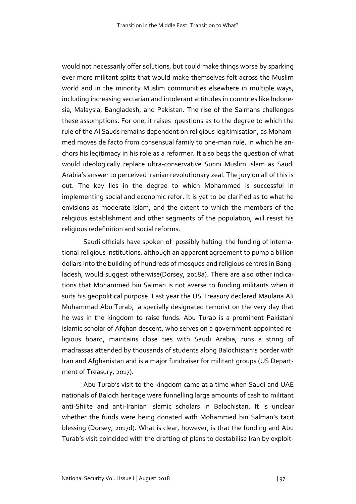would not necessarily offer solutions, but could make things worse by sparking ever more militant splits that would make themselves felt across the Muslim world and in the minority Muslim communities elsewhere in multiple ways, including increasing sectarian and intolerant attitudes in countries like Indonesia, Malaysia, Bangladesh, and Pakistan. The rise of the Salmans challenges these assumptions. For one, it raises questions as to the degree to which the rule of the Al Sauds remains dependent on religious legitimisation, as Mohammed moves de facto from consensual family to one-man rule, in which he anchors his legitimacy in his role as a reformer. It also begs the question of what would ideologically replace ultra-conservative Sunni Muslim Islam as Saudi Arabia's answer to perceived Iranian revolutionary zeal. The jury on all of this is out. The key lies in the degree to which Mohammed is successful in implementing social and economic refor. It is yet to be clarified as to what he envisions as moderate Islam, and the extent to which the members of the religious establishment and other segments of the population, will resist his religious redefinition and social reforms.

Saudi officials have spoken of possibly halting the funding of international religious institutions, although an apparent agreement to pump a billion dollars into the building of hundreds of mosques and religious centres in Bangladesh, would suggest otherwise(Dorsey, 2018a). There are also other indications that Mohammed bin Salman is not averse to funding militants when it suits his geopolitical purpose. Last year the US Treasury declared Maulana Ali Muhammad Abu Turab, a specially designated terrorist on the very day that he was in the kingdom to raise funds. Abu Turab is a prominent Pakistani Islamic scholar of Afghan descent, who serves on a government-appointed religious board, maintains close ties with Saudi Arabia, runs a string of madrassas attended by thousands of students along Balochistan's border with Iran and Afghanistan and is a major fundraiser for militant groups (US Department of Treasury, 2017).

Abu Turab's visit to the kingdom came at a time when Saudi and UAE nationals of Baloch heritage were funnelling large amounts of cash to militant anti-Shiite and anti-Iranian Islamic scholars in Balochistan. It is unclear whether the funds were being donated with Mohammed bin Salman's tacit blessing (Dorsey, 2017d). What is clear, however, is that the funding and Abu Turab's visit coincided with the drafting of plans to destabilise Iran by exploit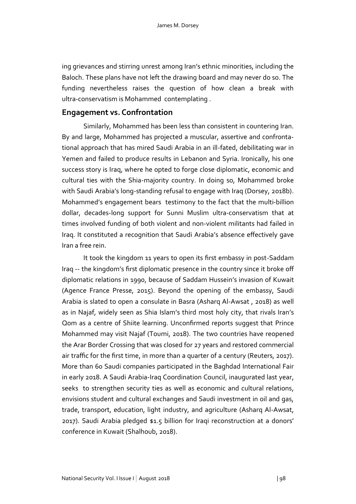ing grievances and stirring unrest among Iran's ethnic minorities, including the Baloch. These plans have not left the drawing board and may never do so. The funding nevertheless raises the question of how clean a break with ultra-conservatism is Mohammed contemplating .

#### **Engagement vs. Confrontation**

Similarly, Mohammed has been less than consistent in countering Iran. By and large, Mohammed has projected a muscular, assertive and confrontational approach that has mired Saudi Arabia in an ill-fated, debilitating war in Yemen and failed to produce results in Lebanon and Syria. Ironically, his one success story is Iraq, where he opted to forge close diplomatic, economic and cultural ties with the Shia-majority country. In doing so, Mohammed broke with Saudi Arabia's long-standing refusal to engage with Iraq (Dorsey, 2018b). Mohammed's engagement bears testimony to the fact that the multi-billion dollar, decades-long support for Sunni Muslim ultra-conservatism that at times involved funding of both violent and non-violent militants had failed in Iraq. It constituted a recognition that Saudi Arabia's absence effectively gave Iran a free rein.

It took the kingdom 11 years to open its first embassy in post-Saddam Iraq -- the kingdom's first diplomatic presence in the country since it broke off diplomatic relations in 1990, because of Saddam Hussein's invasion of Kuwait (Agence France Presse, 2015). Beyond the opening of the embassy, Saudi Arabia is slated to open a consulate in Basra (Asharq Al-Awsat , 2018) as well as in Najaf, widely seen as Shia Islam's third most holy city, that rivals Iran's Qom as a centre of Shiite learning. Unconfirmed reports suggest that Prince Mohammed may visit Najaf (Toumi, 2018). The two countries have reopened the Arar Border Crossing that was closed for 27 years and restored commercial air traffic for the first time, in more than a quarter of a century (Reuters, 2017). More than 60 Saudi companies participated in the Baghdad International Fair in early 2018. A Saudi Arabia-Iraq Coordination Council, inaugurated last year, seeks to strengthen security ties as well as economic and cultural relations, envisions student and cultural exchanges and Saudi investment in oil and gas, trade, transport, education, light industry, and agriculture (Asharq Al-Awsat, 2017). Saudi Arabia pledged \$1.5 billion for Iraqi reconstruction at a donors' conference in Kuwait (Shalhoub, 2018).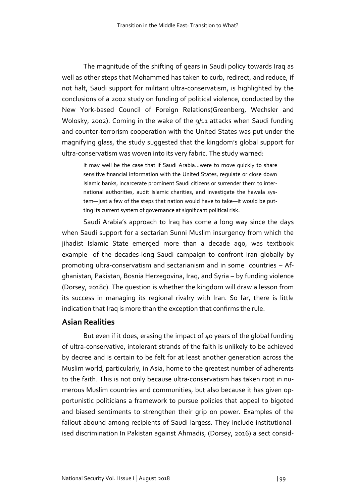The magnitude of the shifting of gears in Saudi policy towards Iraq as well as other steps that Mohammed has taken to curb, redirect, and reduce, if not halt, Saudi support for militant ultra-conservatism, is highlighted by the conclusions of a 2002 study on funding of political violence, conducted by the New York-based Council of Foreign Relations(Greenberg, Wechsler and Wolosky, 2002). Coming in the wake of the 9/11 attacks when Saudi funding and counter-terrorism cooperation with the United States was put under the magnifying glass, the study suggested that the kingdom's global support for ultra-conservatism was woven into its very fabric. The study warned:

It may well be the case that if Saudi Arabia…were to move quickly to share sensitive financial information with the United States, regulate or close down Islamic banks, incarcerate prominent Saudi citizens or surrender them to international authorities, audit Islamic charities, and investigate the hawala system—just a few of the steps that nation would have to take—it would be putting its current system of governance at significant political risk.

Saudi Arabia's approach to Iraq has come a long way since the days when Saudi support for a sectarian Sunni Muslim insurgency from which the jihadist Islamic State emerged more than a decade ago, was textbook example of the decades-long Saudi campaign to confront Iran globally by promoting ultra-conservatism and sectarianism and in some countries – Afghanistan, Pakistan, Bosnia Herzegovina, Iraq, and Syria – by funding violence (Dorsey, 2018c). The question is whether the kingdom will draw a lesson from its success in managing its regional rivalry with Iran. So far, there is little indication that Iraq is more than the exception that confirms the rule.

#### **Asian Realities**

But even if it does, erasing the impact of 40 years of the global funding of ultra-conservative, intolerant strands of the faith is unlikely to be achieved by decree and is certain to be felt for at least another generation across the Muslim world, particularly, in Asia, home to the greatest number of adherents to the faith. This is not only because ultra-conservatism has taken root in numerous Muslim countries and communities, but also because it has given opportunistic politicians a framework to pursue policies that appeal to bigoted and biased sentiments to strengthen their grip on power. Examples of the fallout abound among recipients of Saudi largess. They include institutionalised discrimination In Pakistan against Ahmadis, (Dorsey, 2016) a sect consid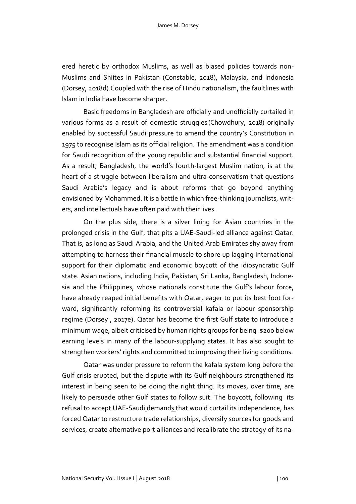ered heretic by orthodox Muslims, as well as biased policies towards non-Muslims and Shiites in Pakistan (Constable, 2018), Malaysia, and Indonesia (Dorsey, 2018d).Coupled with the rise of Hindu nationalism, the faultlines with Islam in India have become sharper.

Basic freedoms in Bangladesh are officially and unofficially curtailed in various forms as a result of domestic struggles (Chowdhury, 2018) originally enabled by successful Saudi pressure to amend the country's Constitution in 1975 to recognise Islam as its official religion. The amendment was a condition for Saudi recognition of the young republic and substantial financial support. As a result, Bangladesh, the world's fourth-largest Muslim nation, is at the heart of a struggle between liberalism and ultra-conservatism that questions Saudi Arabia's legacy and is about reforms that go beyond anything envisioned by Mohammed. It is a battle in which free-thinking journalists, writers, and intellectuals have often paid with their lives.

On the plus side, there is a silver lining for Asian countries in the prolonged crisis in the Gulf, that pits a UAE-Saudi-led alliance against Qatar. That is, as long as Saudi Arabia, and the United Arab Emirates shy away from attempting to harness their financial muscle to shore up lagging international support for their diplomatic and economic boycott of the idiosyncratic Gulf state. Asian nations, including India, Pakistan, Sri Lanka, Bangladesh, Indonesia and the Philippines, whose nationals constitute the Gulf's labour force, have already reaped initial benefits with Qatar, eager to put its best foot forward, significantly reforming its controversial kafala or labour sponsorship regime (Dorsey , 2017e). Qatar has become the first Gulf state to introduce a minimum wage, albeit criticised by human rights groups for being \$200 below earning levels in many of the labour-supplying states. It has also sought to strengthen workers' rights and committed to improving their living conditions.

Qatar was under pressure to reform the kafala system long before the Gulf crisis erupted, but the dispute with its Gulf neighbours strengthened its interest in being seen to be doing the right thing. Its moves, over time, are likely to persuade other Gulf states to follow suit. The boycott, following its refusal to accept UAE-Saudi demands that would curtail its independence, has forced Qatar to restructure trade relationships, diversify sources for goods and services, create alternative port alliances and recalibrate the strategy of its na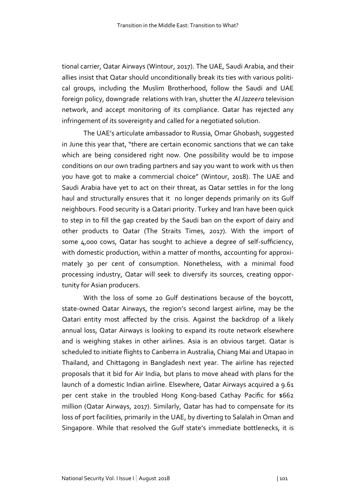tional carrier, Qatar Airways (Wintour, 2017). The UAE, Saudi Arabia, and their allies insist that Qatar should unconditionally break its ties with various political groups, including the Muslim Brotherhood, follow the Saudi and UAE foreign policy, downgrade relations with Iran, shutter the *Al Jazeera* television network, and accept monitoring of its compliance. Qatar has rejected any infringement of its sovereignty and called for a negotiated solution.

The UAE's articulate ambassador to Russia, Omar Ghobash, suggested in June this year that, "there are certain economic sanctions that we can take which are being considered right now. One possibility would be to impose conditions on our own trading partners and say you want to work with us then you have got to make a commercial choice" (Wintour, 2018). The UAE and Saudi Arabia have yet to act on their threat, as Qatar settles in for the long haul and structurally ensures that it no longer depends primarily on its Gulf neighbours. Food security is a Qatari priority. Turkey and Iran have been quick to step in to fill the gap created by the Saudi ban on the export of dairy and other products to Qatar (The Straits Times, 2017). With the import of some 4,000 cows, Qatar has sought to achieve a degree of self-sufficiency, with domestic production, within a matter of months, accounting for approximately 30 per cent of consumption. Nonetheless, with a minimal food processing industry, Qatar will seek to diversify its sources, creating opportunity for Asian producers.

With the loss of some 20 Gulf destinations because of the boycott, state-owned Qatar Airways, the region's second largest airline, may be the Qatari entity most affected by the crisis. Against the backdrop of a likely annual loss, Qatar Airways is looking to expand its route network elsewhere and is weighing stakes in other airlines. Asia is an obvious target. Qatar is scheduled to initiate flights to Canberra in Australia, Chiang Mai and Utapao in Thailand, and Chittagong in Bangladesh next year. The airline has rejected proposals that it bid for Air India, but plans to move ahead with plans for the launch of a domestic Indian airline. Elsewhere, Qatar Airways acquired a 9.61 per cent stake in the troubled Hong Kong-based Cathay Pacific for \$662 million (Qatar Airways, 2017). Similarly, Qatar has had to compensate for its loss of port facilities, primarily in the UAE, by diverting to Salalah in Oman and Singapore. While that resolved the Gulf state's immediate bottlenecks, it is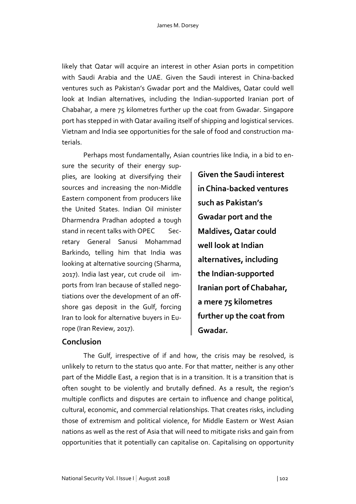likely that Qatar will acquire an interest in other Asian ports in competition with Saudi Arabia and the UAE. Given the Saudi interest in China-backed ventures such as Pakistan's Gwadar port and the Maldives, Qatar could well look at Indian alternatives, including the Indian-supported Iranian port of Chabahar, a mere 75 kilometres further up the coat from Gwadar. Singapore port has stepped in with Qatar availing itself of shipping and logistical services. Vietnam and India see opportunities for the sale of food and construction materials.

Perhaps most fundamentally, Asian countries like India, in a bid to en-

sure the security of their energy supplies, are looking at diversifying their sources and increasing the non-Middle Eastern component from producers like the United States. Indian Oil minister Dharmendra Pradhan adopted a tough stand in recent talks with OPEC Secretary General Sanusi Mohammad Barkindo, telling him that India was looking at alternative sourcing (Sharma, 2017). India last year, cut crude oil imports from Iran because of stalled negotiations over the development of an offshore gas deposit in the Gulf, forcing Iran to look for alternative buyers in Europe (Iran Review, 2017).

**Given the Saudi interest in China-backed ventures such as Pakistan's Gwadar port and the Maldives, Qatar could well look at Indian alternatives, including the Indian-supported Iranian port of Chabahar, a mere 75 kilometres further up the coat from Gwadar.**

#### **Conclusion**

The Gulf, irrespective of if and how, the crisis may be resolved, is unlikely to return to the status quo ante. For that matter, neither is any other part of the Middle East, a region that is in a transition. It is a transition that is often sought to be violently and brutally defined. As a result, the region's multiple conflicts and disputes are certain to influence and change political, cultural, economic, and commercial relationships. That creates risks, including those of extremism and political violence, for Middle Eastern or West Asian nations as well as the rest of Asia that will need to mitigate risks and gain from opportunities that it potentially can capitalise on. Capitalising on opportunity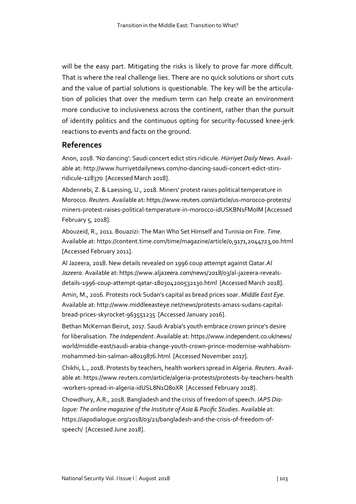will be the easy part. Mitigating the risks is likely to prove far more difficult. That is where the real challenge lies. There are no quick solutions or short cuts and the value of partial solutions is questionable. The key will be the articulation of policies that over the medium term can help create an environment more conducive to inclusiveness across the continent, rather than the pursuit of identity politics and the continuous opting for security-focussed knee-jerk reactions to events and facts on the ground.

#### **References**

Anon, 2018. 'No dancing': Saudi concert edict stirs ridicule. *Hürriyet Daily News*. Available at: http://www.hurriyetdailynews.com/no-dancing-saudi-concert-edict-stirsridicule-128370 [Accessed March 2018].

Abdennebi, Z. & Laessing, U., 2018. Miners' protest raises political temperature in Morocco. *Reuters*. Available at: https://www.reuters.com/article/us-morocco-protests/ miners-protest-raises-political-temperature-in-morocco-idUSKBN1FM0IM [Accessed February 5, 2018].

Abouzeid, R., 2011. Bouazizi: The Man Who Set Himself and Tunisia on Fire. *Time*. Available at: https://content.time.com/time/magazine/article/0,9171,2044723,00.html [Accessed February 2011].

Al Jazeera, 2018. New details revealed on 1996 coup attempt against Qatar.*Al Jazeera*. Available at: https://www.aljazeera.com/news/2018/03/al-jazeera-revealsdetails-1996-coup-attempt-qatar-180304200532130.html [Accessed March 2018].

Amin, M., 2016. Protests rock Sudan's capital as bread prices soar. *Middle East Eye*. Available at: http://www.middleeasteye.net/news/protests-amass-sudans-capitalbread-prices-skyrocket-963551235 [Accessed January 2016].

Bethan McKernan Beirut, 2017. Saudi Arabia's youth embrace crown prince's desire for liberalisation. *The Independent*. Available at: https://www.independent.co.uk/news/ world/middle-east/saudi-arabia-change-youth-crown-prince-modernise-wahhabismmohammed-bin-salman-a8019876.html [Accessed November 2017].

Chikhi, L., 2018. Protests by teachers, health workers spread in Algeria. *Reuters*. Available at: https://www.reuters.com/article/algeria-protests/protests-by-teachers-health -workers-spread-in-algeria-idUSL8N1Q80XR [Accessed February 2018].

Chowdhury, A.R., 2018. Bangladesh and the crisis of freedom of speech. *IAPS Dialogue: The online magazine of the Institute of Asia & Pacific Studies*. Available at: https://iapsdialogue.org/2018/03/21/bangladesh-and-the-crisis-of-freedom-ofspeech/ [Accessed June 2018].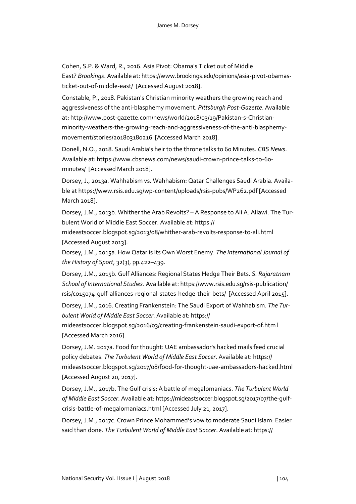Cohen, S.P. & Ward, R., 2016. Asia Pivot: Obama's Ticket out of Middle East? *Brookings*. Available at: https://www.brookings.edu/opinions/asia-pivot-obamasticket-out-of-middle-east/ [Accessed August 2018].

Constable, P., 2018. Pakistan's Christian minority weathers the growing reach and aggressiveness of the anti-blasphemy movement. *Pittsburgh Post-Gazette*. Available at: http://www.post-gazette.com/news/world/2018/03/19/Pakistan-s-Christianminority-weathers-the-growing-reach-and-aggressiveness-of-the-anti-blasphemymovement/stories/201803180216 [Accessed March 2018].

Donell, N.O., 2018. Saudi Arabia's heir to the throne talks to 60 Minutes. *CBS News*. Available at: https://www.cbsnews.com/news/saudi-crown-prince-talks-to-60 minutes/ [Accessed March 2018].

Dorsey, J., 2013a. Wahhabism vs. Wahhabism: Qatar Challenges Saudi Arabia. Available at https://www.rsis.edu.sg/wp-content/uploads/rsis-pubs/WP262.pdf [Accessed March 2018].

Dorsey, J.M., 2013b. Whither the Arab Revolts? – A Response to Ali A. Allawi. The Turbulent World of Middle East Soccer. Available at: https://

mideastsoccer.blogspot.sg/2013/08/whither-arab-revolts-response-to-ali.html [Accessed August 2013].

Dorsey, J.M., 2015a. How Qatar is Its Own Worst Enemy. *The International Journal of the History of Sport*, 32(3), pp.422–439.

Dorsey, J.M., 2015b. Gulf Alliances: Regional States Hedge Their Bets. *S. Rajaratnam School of International Studies*. Available at: https://www.rsis.edu.sg/rsis-publication/ rsis/co15074-gulf-alliances-regional-states-hedge-their-bets/ [Accessed April 2015].

Dorsey, J.M., 2016. Creating Frankenstein: The Saudi Export of Wahhabism. *The Turbulent World of Middle East Soccer*. Available at: https://

mideastsoccer.blogspot.sg/2016/03/creating-frankenstein-saudi-export-of.htm l [Accessed March 2016].

Dorsey, J.M. 2017a. Food for thought: UAE ambassador's hacked mails feed crucial policy debates. *The Turbulent World of Middle East Soccer*. Available at: https:// mideastsoccer.blogspot.sg/2017/08/food-for-thought-uae-ambassadors-hacked.html [Accessed August 20, 2017].

Dorsey, J.M., 2017b. The Gulf crisis: A battle of megalomaniacs. *The Turbulent World of Middle East Soccer*. Available at: https://mideastsoccer.blogspot.sg/2017/07/the-gulfcrisis-battle-of-megalomaniacs.html [Accessed July 21, 2017].

Dorsey, J.M., 2017c. Crown Prince Mohammed's vow to moderate Saudi Islam: Easier said than done. *The Turbulent World of Middle East Soccer*. Available at: https://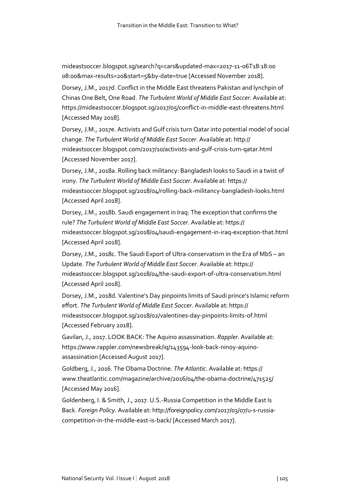mideastsoccer.blogspot.sg/search?q=cars&updated-max=2017-11-06T18:18:00 08:00&max-results=20&start=5&by-date=true [Accessed November 2018].

Dorsey, J.M., 2017d. Conflict in the Middle East threatens Pakistan and lynchpin of Chinas One Belt, One Road. *The Turbulent World of Middle East Soccer*. Available at: https://mideastsoccer.blogspot.sg/2017/05/conflict-in-middle-east-threatens.html [Accessed May 2018].

Dorsey, J.M., 2017e. Activists and Gulf crisis turn Qatar into potential model of social change. *The Turbulent World of Middle East Soccer*. Available at: http:// mideastsoccer.blogspot.com/2017/10/activists-and-gulf-crisis-turn-qatar.html [Accessed November 2017].

Dorsey, J.M., 2018a. Rolling back militancy: Bangladesh looks to Saudi in a twist of irony. *The Turbulent World of Middle East Soccer*. Available at: https:// mideastsoccer.blogspot.sg/2018/04/rolling-back-militancy-bangladesh-looks.html [Accessed April 2018].

Dorsey, J.M., 2018b. Saudi engagement in Iraq: The exception that confirms the rule? *The Turbulent World of Middle East Soccer*. Available at: https:// mideastsoccer.blogspot.sg/2018/04/saudi-engagement-in-iraq-exception-that.html [Accessed April 2018].

Dorsey, J.M., 2018c. The Saudi Export of Ultra-conservatism in the Era of MbS – an Update. *The Turbulent World of Middle East Soccer*. Available at: https:// mideastsoccer.blogspot.sg/2018/04/the-saudi-export-of-ultra-conservatism.html [Accessed April 2018].

Dorsey, J.M., 2018d. Valentine's Day pinpoints limits of Saudi prince's Islamic reform effort. *The Turbulent World of Middle East Soccer*. Available at: https:// mideastsoccer.blogspot.sg/2018/02/valentines-day-pinpoints-limits-of.html [Accessed February 2018].

Gavilan, J., 2017. LOOK BACK: The Aquino assassination. *Rappler*. Available at: https://www.rappler.com/newsbreak/iq/143594-look-back-ninoy-aquinoassassination [Accessed August 2017].

Goldberg, J., 2016. The Obama Doctrine. *The Atlantic*. Available at: https:// www.theatlantic.com/magazine/archive/2016/04/the-obama-doctrine/471525/ [Accessed May 2016].

Goldenberg, I. & Smith, J., 2017. U.S.-Russia Competition in the Middle East Is Back. *Foreign Policy*. Available at: http://foreignpolicy.com/2017/03/07/u-s-russiacompetition-in-the-middle-east-is-back/ [Accessed March 2017].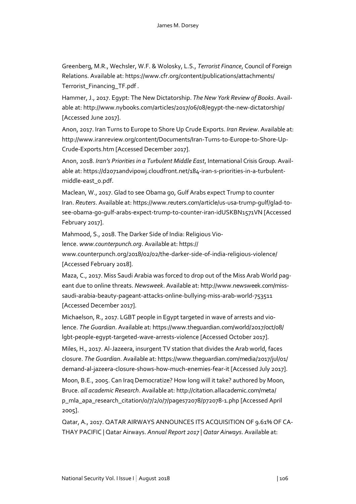Greenberg, M.R., Wechsler, W.F. & Wolosky, L.S., *Terrorist Finance*, Council of Foreign Relations. Available at: https://www.cfr.org/content/publications/attachments/ Terrorist\_Financing\_TF.pdf .

Hammer, J., 2017. Egypt: The New Dictatorship. *The New York Review of Books*. Available at: http://www.nybooks.com/articles/2017/06/08/egypt-the-new-dictatorship/ [Accessed June 2017].

Anon, 2017. Iran Turns to Europe to Shore Up Crude Exports. *Iran Review*. Available at: http://www.iranreview.org/content/Documents/Iran-Turns-to-Europe-to-Shore-Up-Crude-Exports.htm [Accessed December 2017].

Anon, 2018. *Iran's Priorities in a Turbulent Middle East*, International Crisis Group. Available at: https://d2071andvip0wj.cloudfront.net/184-iran-s-priorities-in-a-turbulentmiddle-east\_0.pdf.

Maclean, W., 2017. Glad to see Obama go, Gulf Arabs expect Trump to counter Iran. *Reuters*. Available at: https://www.reuters.com/article/us-usa-trump-gulf/glad-tosee-obama-go-gulf-arabs-expect-trump-to-counter-iran-idUSKBN1571VN [Accessed February 2017].

Mahmood, S., 2018. The Darker Side of India: Religious Vio-

lence. *www.counterpunch.org*. Available at: https://

www.counterpunch.org/2018/02/02/the-darker-side-of-india-religious-violence/ [Accessed February 2018].

Maza, C., 2017. Miss Saudi Arabia was forced to drop out of the Miss Arab World pageant due to online threats. *Newsweek*. Available at: http://www.newsweek.com/misssaudi-arabia-beauty-pageant-attacks-online-bullying-miss-arab-world-753511 [Accessed December 2017].

Michaelson, R., 2017. LGBT people in Egypt targeted in wave of arrests and violence. *The Guardian*. Available at: https://www.theguardian.com/world/2017/oct/08/ lgbt-people-egypt-targeted-wave-arrests-violence [Accessed October 2017].

Miles, H., 2017. Al-Jazeera, insurgent TV station that divides the Arab world, faces closure. *The Guardian*. Available at: https://www.theguardian.com/media/2017/jul/01/ demand-al-jazeera-closure-shows-how-much-enemies-fear-it [Accessed July 2017].

Moon, B.E., 2005. Can Iraq Democratize? How long will it take? authored by Moon, Bruce. *all academic Research*. Available at: http://citation.allacademic.com/meta/ p\_mla\_apa\_research\_citation/0/7/2/0/7/pages72078/p72078-1.php [Accessed April 2005].

Qatar, A., 2017. QATAR AIRWAYS ANNOUNCES ITS ACQUISITION OF 9.61% OF CA-THAY PACIFIC | Qatar Airways. *Annual Report 2017 | Qatar Airways*. Available at: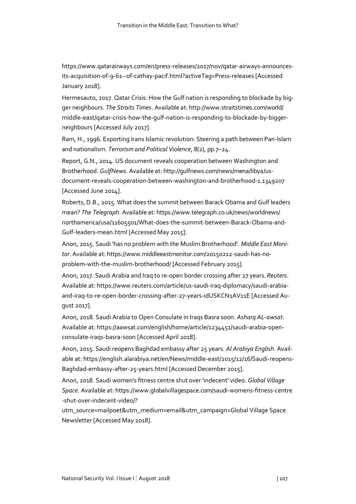https://www.qatarairways.com/en/press-releases/2017/nov/qatar-airways-announcesits-acquisition-of-9-61--of-cathay-pacif.html?activeTag=Press-releases [Accessed January 2018].

Hermesauto, 2017. Qatar Crisis: How the Gulf nation is responding to blockade by bigger neighbours. *The Straits Times*. Available at: http://www.straitstimes.com/world/ middle-east/qatar-crisis-how-the-gulf-nation-is-responding-to-blockade-by-biggerneighbours [Accessed July 2017].

Ram, H., 1996. Exporting Irans Islamic revolution: Steering a path between Pan‐Islam and nationalism. *Terrorism and Political Violence*, 8(2), pp.7–24.

Report, G.N., 2014. US document reveals cooperation between Washington and Brotherhood. *GulfNews*. Available at: http://gulfnews.com/news/mena/libya/usdocument-reveals-cooperation-between-washington-and-brotherhood-1.1349207 [Accessed June 2014].

Roberts, D.B., 2015. What does the summit between Barack Obama and Gulf leaders mean? *The Telegraph*. Available at: https://www.telegraph.co.uk/news/worldnews/ northamerica/usa/11605501/What-does-the-summit-between-Barack-Obama-and-Gulf-leaders-mean.html [Accessed May 2015].

Anon, 2015. Saudi 'has no problem with the Muslim Brotherhood'. *Middle East Monitor*. Available at: https://www.middleeastmonitor.com/20150212-saudi-has-noproblem-with-the-muslim-brotherhood/ [Accessed February 2015].

Anon, 2017. Saudi Arabia and Iraq to re-open border crossing after 27 years. *Reuters*. Available at: https://www.reuters.com/article/us-saudi-iraq-diplomacy/saudi-arabiaand-iraq-to-re-open-border-crossing-after-27-years-idUSKCN1AV11E [Accessed August 2017].

Anon, 2018. Saudi Arabia to Open Consulate in Iraqs Basra soon. *Asharq AL-awsat*. Available at: https://aawsat.com/english/home/article/1234451/saudi-arabia-openconsulate-iraqs-basra-soon [Accessed April 2018].

Anon, 2015. Saudi reopens Baghdad embassy after 25 years. *Al Arabiya English*. Available at: https://english.alarabiya.net/en/News/middle-east/2015/12/16/Saudi-reopens-Baghdad-embassy-after-25-years.html [Accessed December 2015].

Anon, 2018. Saudi women's fitness centre shut over 'indecent' video. *Global Village Space*. Available at: https://www.globalvillagespace.com/saudi-womens-fitness-centre -shut-over-indecent-video/?

utm\_source=mailpoet&utm\_medium=email&utm\_campaign=Global Village Space Newsletter [Accessed May 2018].